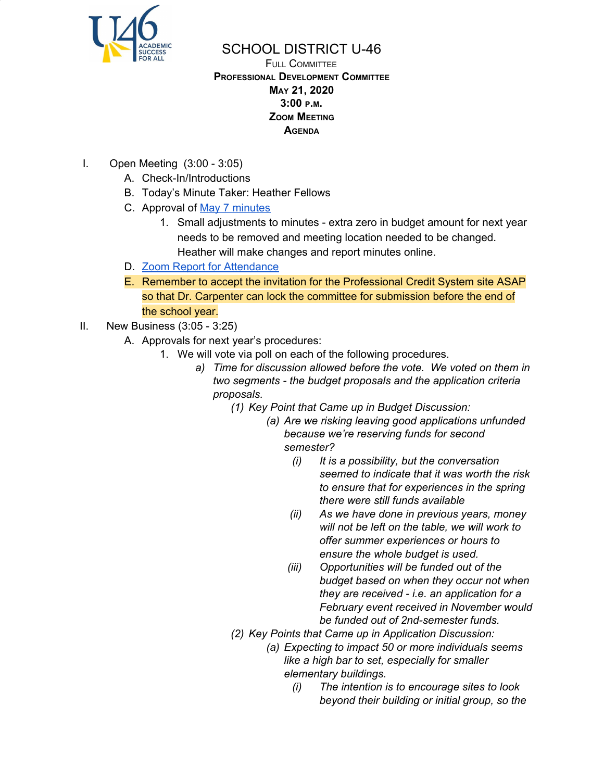

## SCHOOL DISTRICT U-46

FULL COMMITTEE **PROFESSIONAL DEVELOPMENT COMMITTEE MAY 21, 2020 3:00 <sup>P</sup>.M. ZOOM MEETING AGENDA**

- I. Open Meeting (3:00 3:05)
	- A. Check-In/Introductions
	- B. Today's Minute Taker: Heather Fellows
	- C. Approval of May 7 [minutes](https://www.u-46.org/site/handlers/filedownload.ashx?moduleinstanceid=23441&dataid=49800&FileName=5-7-20%20Minutes%20FC%20.pdf)
		- 1. Small adjustments to minutes extra zero in budget amount for next year needs to be removed and meeting location needed to be changed. Heather will make changes and report minutes online.
	- D. Zoom Report for [Attendance](https://drive.google.com/file/d/1Z6IDotinyL-uvAPLfsCQDjhYGVIxVZfJ/view?usp=sharing)
	- E. Remember to accept the invitation for the Professional Credit System site ASAP so that Dr. Carpenter can lock the committee for submission before the end of the school year.
- II. New Business (3:05 3:25)
	- A. Approvals for next year's procedures:
		- 1. We will vote via poll on each of the following procedures.
			- *a) Time for discussion allowed before the vote. We voted on them in two segments - the budget proposals and the application criteria proposals.*
				- *(1) Key Point that Came up in Budget Discussion:*
					- *(a) Are we risking leaving good applications unfunded because we're reserving funds for second semester?*
						- *(i) It is a possibility, but the conversation seemed to indicate that it was worth the risk to ensure that for experiences in the spring there were still funds available*
						- *(ii) As we have done in previous years, money will not be left on the table, we will work to offer summer experiences or hours to ensure the whole budget is used.*
						- *(iii) Opportunities will be funded out of the budget based on when they occur not when they are received - i.e. an application for a February event received in November would be funded out of 2nd-semester funds.*
				- *(2) Key Points that Came up in Application Discussion:*
					- *(a) Expecting to impact 50 or more individuals seems like a high bar to set, especially for smaller elementary buildings.*
						- *(i) The intention is to encourage sites to look beyond their building or initial group, so the*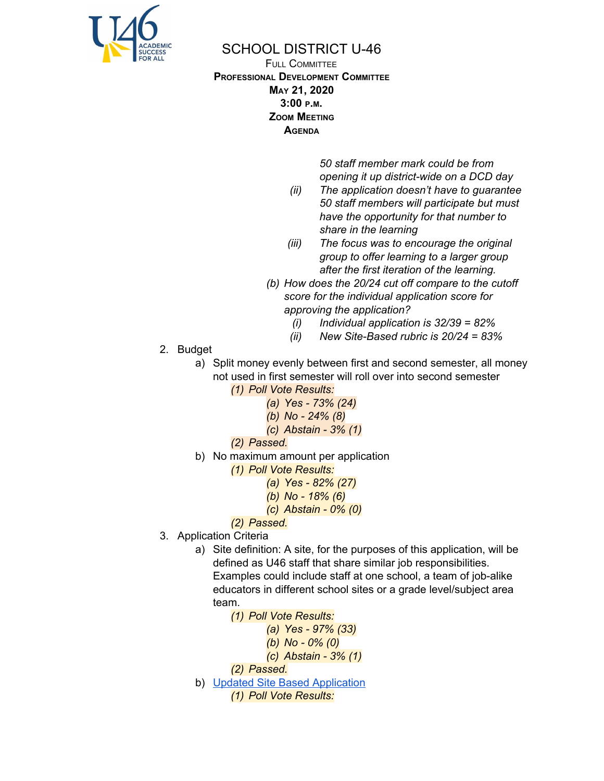

## SCHOOL DISTRICT U-46

FULL COMMITTEE **PROFESSIONAL DEVELOPMENT COMMITTEE MAY 21, 2020 3:00 <sup>P</sup>.M. ZOOM MEETING AGENDA**

> *50 staff member mark could be from opening it up district-wide on a DCD day*

- *(ii) The application doesn't have to guarantee 50 staff members will participate but must have the opportunity for that number to share in the learning*
- *(iii) The focus was to encourage the original group to offer learning to a larger group after the first iteration of the learning.*
- *(b) How does the 20/24 cut off compare to the cutoff score for the individual application score for approving the application?*
	- *(i) Individual application is 32/39 = 82%*
	- *(ii) New Site-Based rubric is 20/24 = 83%*
- 2. Budget
	- a) Split money evenly between first and second semester, all money not used in first semester will roll over into second semester *(1) Poll Vote Results:*
		- *(a) Yes - 73% (24)*
			- *(b) No - 24% (8)*
			- *(c) Abstain - 3% (1)*
		- *(2) Passed.*
	- b) No maximum amount per application
		- *(1) Poll Vote Results:*
			- *(a) Yes - 82% (27)*
			- *(b) No - 18% (6)*
			- *(c) Abstain - 0% (0)*
		- *(2) Passed.*
- 3. Application Criteria
	- a) Site definition: A site, for the purposes of this application, will be defined as U46 staff that share similar job responsibilities. Examples could include staff at one school, a team of job-alike educators in different school sites or a grade level/subject area team.
		- *(1) Poll Vote Results:*
			- *(a) Yes - 97% (33)*
			- *(b) No - 0% (0)*
			- *(c) Abstain - 3% (1)*
		- *(2) Passed.*
	- b) Updated Site Based [Application](https://docs.google.com/document/d/1Q45y_oxcyK9uTe4wekJUEphOWhgaV2nG3qS0sM4nSz0/edit?usp=sharing)

*(1) Poll Vote Results:*